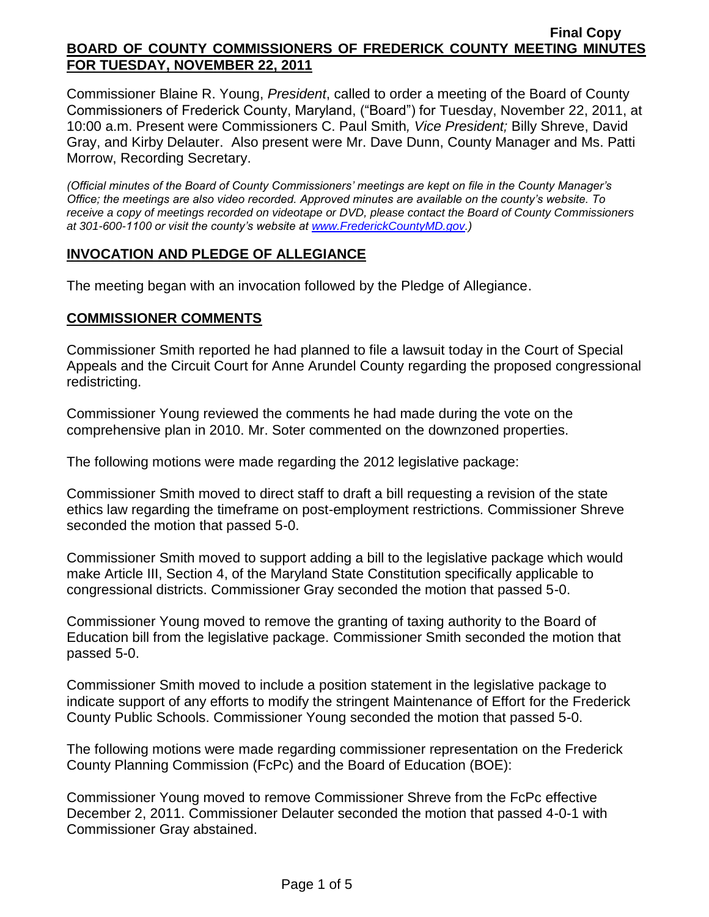Commissioner Blaine R. Young, *President*, called to order a meeting of the Board of County Commissioners of Frederick County, Maryland, ("Board") for Tuesday, November 22, 2011, at 10:00 a.m. Present were Commissioners C. Paul Smith*, Vice President;* Billy Shreve, David Gray, and Kirby Delauter. Also present were Mr. Dave Dunn, County Manager and Ms. Patti Morrow, Recording Secretary.

*(Official minutes of the Board of County Commissioners' meetings are kept on file in the County Manager's Office; the meetings are also video recorded. Approved minutes are available on the county's website. To receive a copy of meetings recorded on videotape or DVD, please contact the Board of County Commissioners at 301-600-1100 or visit the county's website at [www.FrederickCountyMD.gov.](http://www.frederickcountymd.gov/))*

### **INVOCATION AND PLEDGE OF ALLEGIANCE**

The meeting began with an invocation followed by the Pledge of Allegiance.

### **COMMISSIONER COMMENTS**

Commissioner Smith reported he had planned to file a lawsuit today in the Court of Special Appeals and the Circuit Court for Anne Arundel County regarding the proposed congressional redistricting.

Commissioner Young reviewed the comments he had made during the vote on the comprehensive plan in 2010. Mr. Soter commented on the downzoned properties.

The following motions were made regarding the 2012 legislative package:

Commissioner Smith moved to direct staff to draft a bill requesting a revision of the state ethics law regarding the timeframe on post-employment restrictions. Commissioner Shreve seconded the motion that passed 5-0.

Commissioner Smith moved to support adding a bill to the legislative package which would make Article III, Section 4, of the Maryland State Constitution specifically applicable to congressional districts. Commissioner Gray seconded the motion that passed 5-0.

Commissioner Young moved to remove the granting of taxing authority to the Board of Education bill from the legislative package. Commissioner Smith seconded the motion that passed 5-0.

Commissioner Smith moved to include a position statement in the legislative package to indicate support of any efforts to modify the stringent Maintenance of Effort for the Frederick County Public Schools. Commissioner Young seconded the motion that passed 5-0.

The following motions were made regarding commissioner representation on the Frederick County Planning Commission (FcPc) and the Board of Education (BOE):

Commissioner Young moved to remove Commissioner Shreve from the FcPc effective December 2, 2011. Commissioner Delauter seconded the motion that passed 4-0-1 with Commissioner Gray abstained.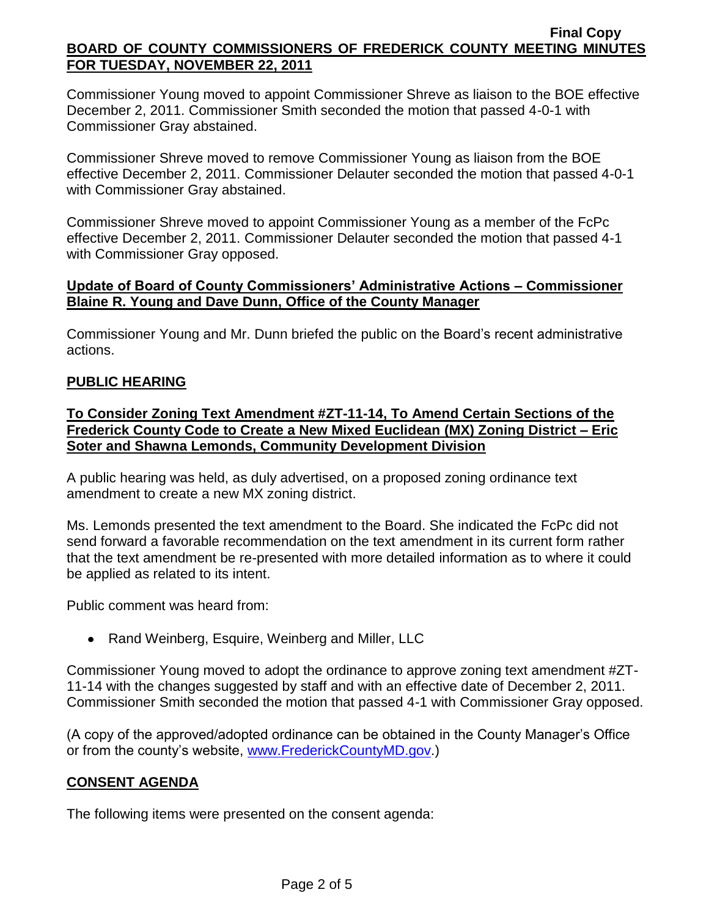Commissioner Young moved to appoint Commissioner Shreve as liaison to the BOE effective December 2, 2011. Commissioner Smith seconded the motion that passed 4-0-1 with Commissioner Gray abstained.

Commissioner Shreve moved to remove Commissioner Young as liaison from the BOE effective December 2, 2011. Commissioner Delauter seconded the motion that passed 4-0-1 with Commissioner Gray abstained.

Commissioner Shreve moved to appoint Commissioner Young as a member of the FcPc effective December 2, 2011. Commissioner Delauter seconded the motion that passed 4-1 with Commissioner Gray opposed.

## **Update of Board of County Commissioners' Administrative Actions – Commissioner Blaine R. Young and Dave Dunn, Office of the County Manager**

Commissioner Young and Mr. Dunn briefed the public on the Board's recent administrative actions.

# **PUBLIC HEARING**

## **To Consider Zoning Text Amendment #ZT-11-14, To Amend Certain Sections of the Frederick County Code to Create a New Mixed Euclidean (MX) Zoning District – Eric Soter and Shawna Lemonds, Community Development Division**

A public hearing was held, as duly advertised, on a proposed zoning ordinance text amendment to create a new MX zoning district.

Ms. Lemonds presented the text amendment to the Board. She indicated the FcPc did not send forward a favorable recommendation on the text amendment in its current form rather that the text amendment be re-presented with more detailed information as to where it could be applied as related to its intent.

Public comment was heard from:

• Rand Weinberg, Esquire, Weinberg and Miller, LLC

Commissioner Young moved to adopt the ordinance to approve zoning text amendment #ZT-11-14 with the changes suggested by staff and with an effective date of December 2, 2011. Commissioner Smith seconded the motion that passed 4-1 with Commissioner Gray opposed.

(A copy of the approved/adopted ordinance can be obtained in the County Manager's Office or from the county's website, [www.FrederickCountyMD.gov.](http://www.frederickcountymd.gov/))

# **CONSENT AGENDA**

The following items were presented on the consent agenda: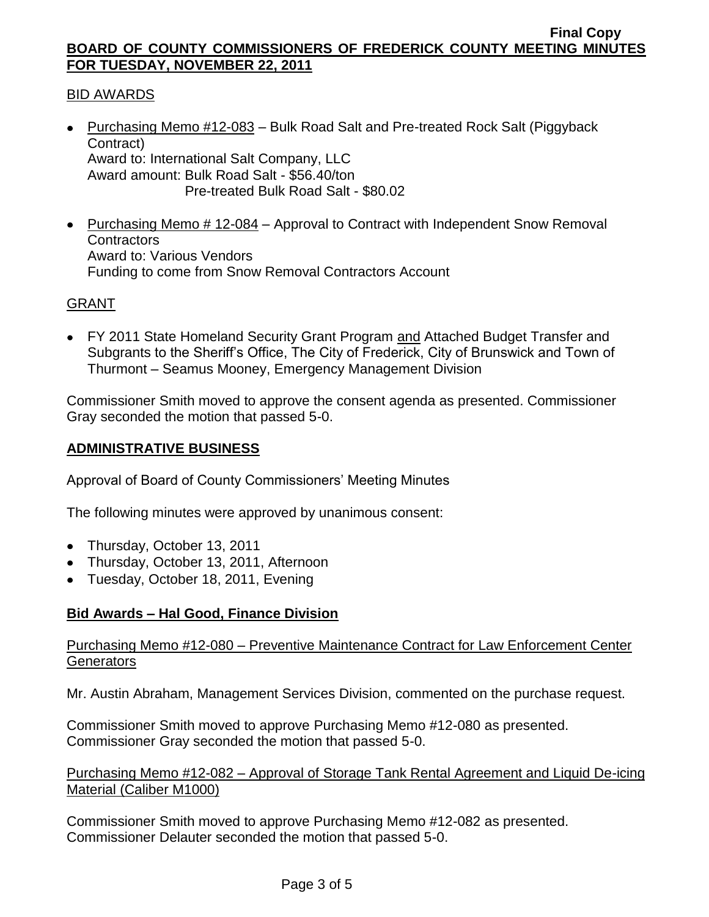## BID AWARDS

- Purchasing Memo #12-083 Bulk Road Salt and Pre-treated Rock Salt (Piggyback Contract) Award to: International Salt Company, LLC Award amount: Bulk Road Salt - \$56.40/ton Pre-treated Bulk Road Salt - \$80.02
- Purchasing Memo # 12-084 Approval to Contract with Independent Snow Removal **Contractors** Award to: Various Vendors Funding to come from Snow Removal Contractors Account

### GRANT

FY 2011 State Homeland Security Grant Program and Attached Budget Transfer and Subgrants to the Sheriff's Office, The City of Frederick, City of Brunswick and Town of Thurmont – Seamus Mooney, Emergency Management Division

Commissioner Smith moved to approve the consent agenda as presented. Commissioner Gray seconded the motion that passed 5-0.

#### **ADMINISTRATIVE BUSINESS**

Approval of Board of County Commissioners' Meeting Minutes

The following minutes were approved by unanimous consent:

- Thursday, October 13, 2011
- Thursday, October 13, 2011, Afternoon
- Tuesday, October 18, 2011, Evening

### **Bid Awards – Hal Good, Finance Division**

### Purchasing Memo #12-080 – Preventive Maintenance Contract for Law Enforcement Center **Generators**

Mr. Austin Abraham, Management Services Division, commented on the purchase request.

Commissioner Smith moved to approve Purchasing Memo #12-080 as presented. Commissioner Gray seconded the motion that passed 5-0.

### Purchasing Memo #12-082 – Approval of Storage Tank Rental Agreement and Liquid De-icing Material (Caliber M1000)

Commissioner Smith moved to approve Purchasing Memo #12-082 as presented. Commissioner Delauter seconded the motion that passed 5-0.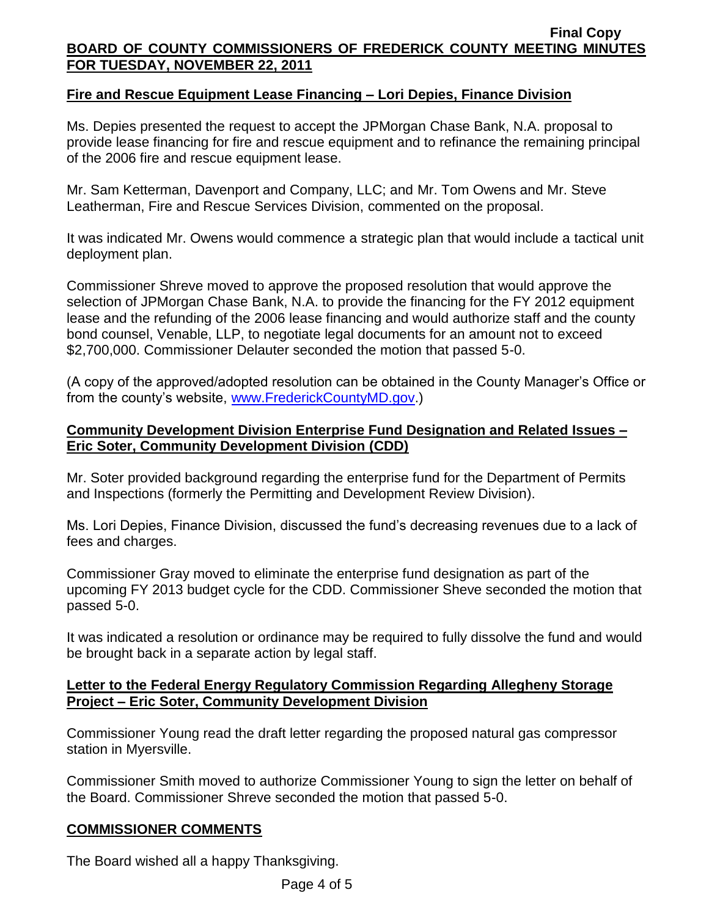## **Fire and Rescue Equipment Lease Financing – Lori Depies, Finance Division**

Ms. Depies presented the request to accept the JPMorgan Chase Bank, N.A. proposal to provide lease financing for fire and rescue equipment and to refinance the remaining principal of the 2006 fire and rescue equipment lease.

Mr. Sam Ketterman, Davenport and Company, LLC; and Mr. Tom Owens and Mr. Steve Leatherman, Fire and Rescue Services Division, commented on the proposal.

It was indicated Mr. Owens would commence a strategic plan that would include a tactical unit deployment plan.

Commissioner Shreve moved to approve the proposed resolution that would approve the selection of JPMorgan Chase Bank, N.A. to provide the financing for the FY 2012 equipment lease and the refunding of the 2006 lease financing and would authorize staff and the county bond counsel, Venable, LLP, to negotiate legal documents for an amount not to exceed \$2,700,000. Commissioner Delauter seconded the motion that passed 5-0.

(A copy of the approved/adopted resolution can be obtained in the County Manager's Office or from the county's website, [www.FrederickCountyMD.gov.](http://www.frederickcountymd.gov/))

### **Community Development Division Enterprise Fund Designation and Related Issues – Eric Soter, Community Development Division (CDD)**

Mr. Soter provided background regarding the enterprise fund for the Department of Permits and Inspections (formerly the Permitting and Development Review Division).

Ms. Lori Depies, Finance Division, discussed the fund's decreasing revenues due to a lack of fees and charges.

Commissioner Gray moved to eliminate the enterprise fund designation as part of the upcoming FY 2013 budget cycle for the CDD. Commissioner Sheve seconded the motion that passed 5-0.

It was indicated a resolution or ordinance may be required to fully dissolve the fund and would be brought back in a separate action by legal staff.

### **Letter to the Federal Energy Regulatory Commission Regarding Allegheny Storage Project – Eric Soter, Community Development Division**

Commissioner Young read the draft letter regarding the proposed natural gas compressor station in Myersville.

Commissioner Smith moved to authorize Commissioner Young to sign the letter on behalf of the Board. Commissioner Shreve seconded the motion that passed 5-0.

### **COMMISSIONER COMMENTS**

The Board wished all a happy Thanksgiving.